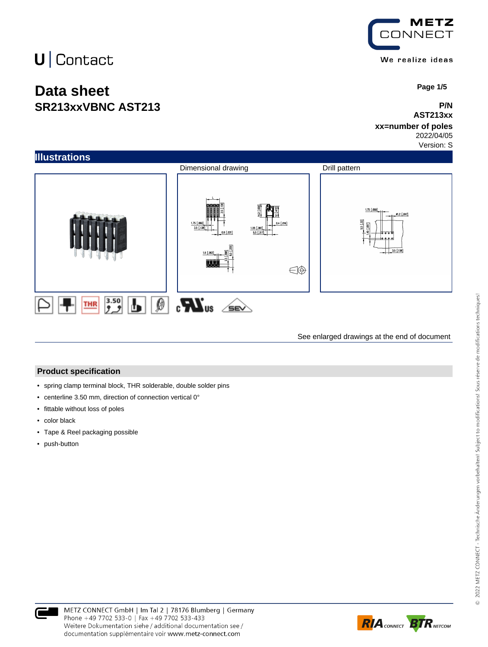## $U$  Contact

### **Data sheet SR213xxVBNC AST213**



 **Page 1/5**

#### **P/N AST213xx**

#### **xx=number of poles** 2022/04/05

Version: S



See enlarged drawings at the end of document

#### **Product specification**

- spring clamp terminal block, THR solderable, double solder pins
- centerline 3.50 mm, direction of connection vertical 0°
- fittable without loss of poles
- color black
- Tape & Reel packaging possible
- push-button



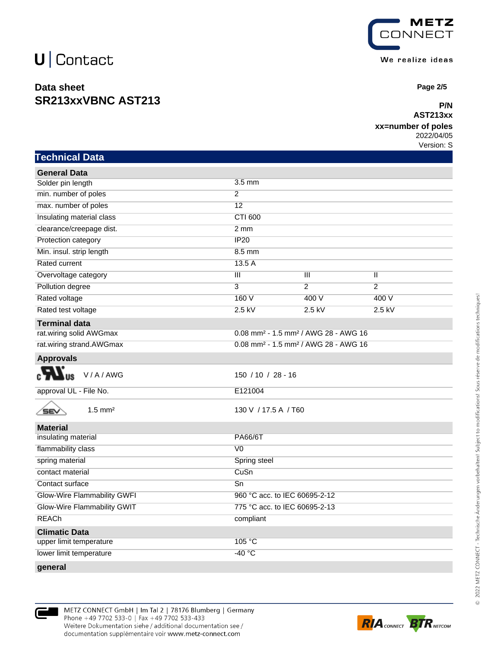## $U$  Contact

### **Data sheet SR213xxVBNC AST213**



 **Page 2/5**

#### **P/N AST213xx**

#### **xx=number of poles**

2022/04/05

Version: S

| <b>Technical Data</b> |  |
|-----------------------|--|
|                       |  |

| <b>General Data</b>         |                                                              |                         |                |
|-----------------------------|--------------------------------------------------------------|-------------------------|----------------|
| Solder pin length           | $3.5$ mm                                                     |                         |                |
| min. number of poles        | $\overline{2}$                                               |                         |                |
| max. number of poles        | $\overline{12}$                                              |                         |                |
| Insulating material class   | CTI 600                                                      |                         |                |
| clearance/creepage dist.    | $2 \, \text{mm}$                                             |                         |                |
| Protection category         | <b>IP20</b>                                                  |                         |                |
| Min. insul. strip length    | $8.5$ mm                                                     |                         |                |
| Rated current               | 13.5A                                                        |                         |                |
| Overvoltage category        | $\overline{\mathbf{III}}$                                    | $\overline{\mathbb{H}}$ | π              |
| Pollution degree            | $\overline{3}$                                               | $\overline{2}$          | $\overline{2}$ |
| Rated voltage               | 160V                                                         | 400 V                   | 400 V          |
| Rated test voltage          | $2.5$ kV                                                     | $2.5$ kV                | $2.5$ kV       |
| <b>Terminal data</b>        |                                                              |                         |                |
| rat.wiring solid AWGmax     | 0.08 mm <sup>2</sup> - 1.5 mm <sup>2</sup> / AWG 28 - AWG 16 |                         |                |
| rat.wiring strand.AWGmax    | 0.08 mm <sup>2</sup> - 1.5 mm <sup>2</sup> / AWG 28 - AWG 16 |                         |                |
| <b>Approvals</b>            |                                                              |                         |                |
| V/A/AWG                     | $150 / 10 / 28 - 16$                                         |                         |                |
| approval UL - File No.      | E121004                                                      |                         |                |
| $1.5$ mm <sup>2</sup><br>SE | 130 V / 17.5 A / T60                                         |                         |                |
| <b>Material</b>             |                                                              |                         |                |
| insulating material         | <b>PA66/6T</b>                                               |                         |                |
| flammability class          | V <sub>0</sub>                                               |                         |                |
| spring material             | Spring steel                                                 |                         |                |
| contact material            | CuSn                                                         |                         |                |
| Contact surface             | $\overline{Sn}$                                              |                         |                |
| Glow-Wire Flammability GWFI | 960 °C acc. to IEC 60695-2-12                                |                         |                |
| Glow-Wire Flammability GWIT | 775 °C acc. to IEC 60695-2-13                                |                         |                |
| <b>REACh</b>                | compliant                                                    |                         |                |
| <b>Climatic Data</b>        |                                                              |                         |                |
| upper limit temperature     | 105 °C                                                       |                         |                |
| lower limit temperature     | $-40$ °C                                                     |                         |                |
|                             |                                                              |                         |                |



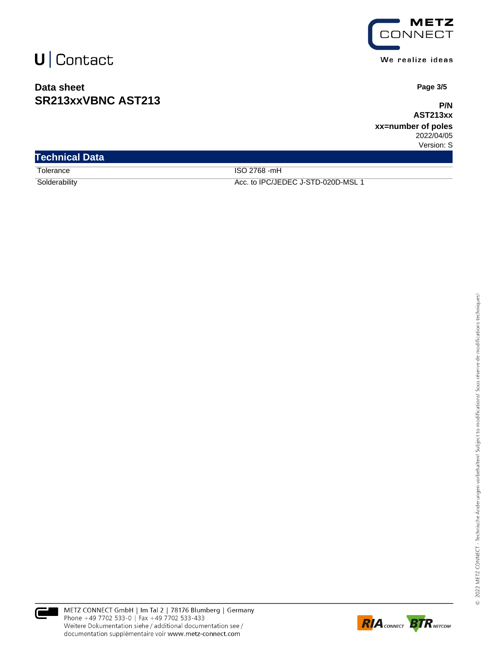## $U$  Contact

### **Data sheet SR213xxVBNC AST213**



 **Page 3/5**

**P/N AST213xx**

**xx=number of poles** 2022/04/05

Version: S

| <b>Technical Data</b> |                                    |
|-----------------------|------------------------------------|
| Tolerance             | ISO 2768 -mH                       |
| Solderability         | Acc. to IPC/JEDEC J-STD-020D-MSL 1 |



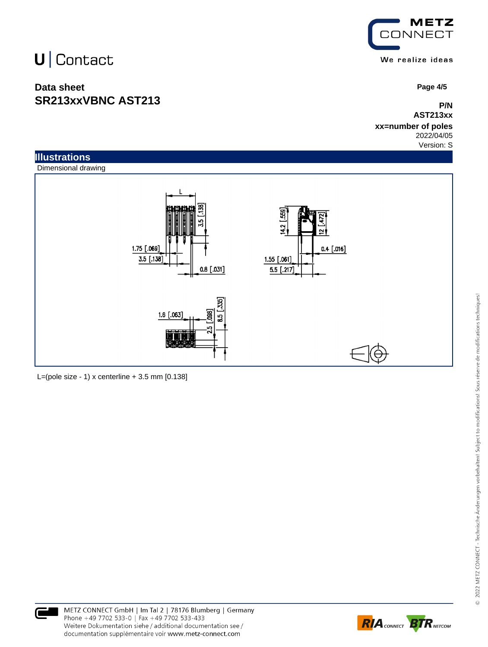# U | Contact

### **Data sheet SR213xxVBNC AST213**



 **Page 4/5**

#### **P/N AST213xx**

**xx=number of poles** 2022/04/05

Version: S





L=(pole size - 1) x centerline  $+3.5$  mm  $[0.138]$